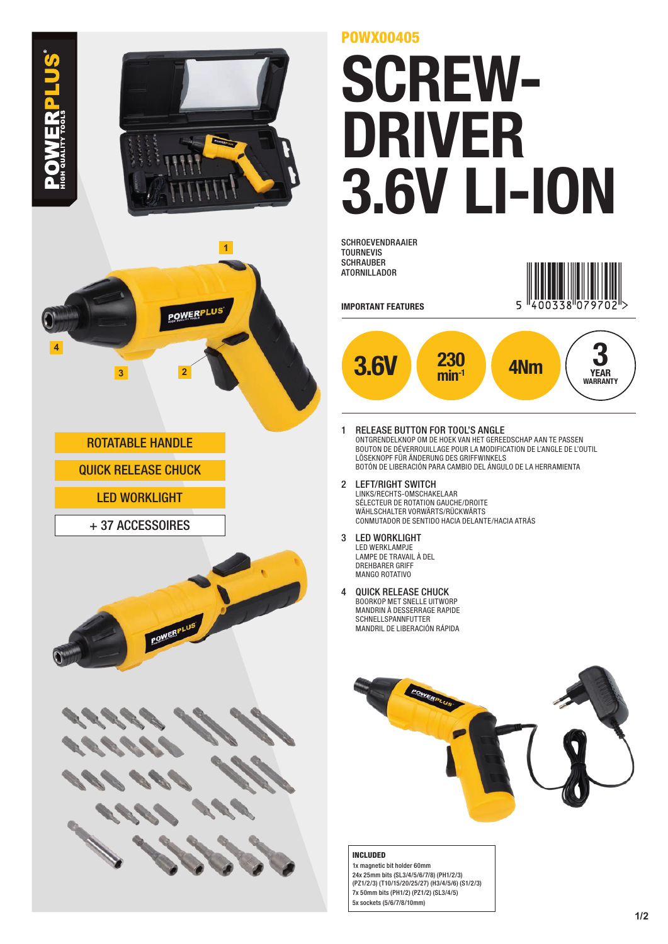



ROTATABLE HANDLE

WERPLUS

QUICK RELEASE CHUCK

- LED WORKLIGHT
- + 37 ACCESSOIRES





## POWX00405

## SCREW-DRIVER 3.6V LI-ION

**SCHROEVENDRAAIER** TOURNEVIS **SCHRAUBER** ATORNILLADOR



IMPORTANT FEATURES



- 1 RELEASE BUTTON FOR TOOL'S ANGLE ONTGRENDELKNOP OM DE HOEK VAN HET GEREEDSCHAP AAN TE PASSEN BOUTON DE DÉVERROUILLAGE POUR LA MODIFICATION DE L'ANGLE DE L'OUTIL LÖSEKNOPF FÜR ÄNDERUNG DES GRIFFWINKELS BOTÓN DE LIBERACIÓN PARA CAMBIO DEL ÁNGULO DE LA HERRAMIENTA
- 2 LEFT/RIGHT SWITCH LINKS/RECHTS-OMSCHAKELAAR SÉLECTEUR DE ROTATION GAUCHE/DROITE WÄHLSCHALTER VORWÄRTS/RÜCKWÄRTS CONMUTADOR DE SENTIDO HACIA DELANTE/HACIA ATRÁS
- 3 LED WORKLIGHT LED WERKLAMPJE LAMPE DE TRAVAIL À DEL DREHBARER GRIFF MANGO ROTATIVO
- 4 QUICK RELEASE CHUCK BOORKOP MET SNELLE UITWORP MANDRIN À DESSERRAGE RAPIDE SCHNELLSPANNFUTTER MANDRIL DE LIBERACIÓN RÁPIDA



## INCLUDED

1x magnetic bit holder 60mm 24x 25mm bits (SL3/4/5/6/7/8) (PH1/2/3) (PZ1/2/3) (T10/15/20/25/27) (H3/4/5/6) (S1/2/3) 7x 50mm bits (PH1/2) (PZ1/2) (SL3/4/5) 5x sockets (5/6/7/8/10mm)